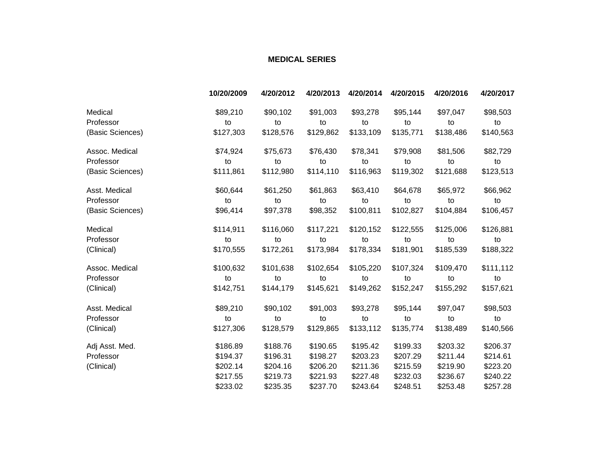## **MEDICAL SERIES**

|                  | 10/20/2009 | 4/20/2012 | 4/20/2013 | 4/20/2014 | 4/20/2015 | 4/20/2016 | 4/20/2017 |
|------------------|------------|-----------|-----------|-----------|-----------|-----------|-----------|
| Medical          | \$89,210   | \$90,102  | \$91,003  | \$93,278  | \$95,144  | \$97,047  | \$98,503  |
| Professor        | to         | to        | to        | to        | to        | to        | to        |
| (Basic Sciences) | \$127,303  | \$128,576 | \$129,862 | \$133,109 | \$135,771 | \$138,486 | \$140,563 |
| Assoc. Medical   | \$74,924   | \$75,673  | \$76,430  | \$78,341  | \$79,908  | \$81,506  | \$82,729  |
| Professor        | to         | to        | to        | to        | to        | to        | to        |
| (Basic Sciences) | \$111,861  | \$112,980 | \$114,110 | \$116,963 | \$119,302 | \$121,688 | \$123,513 |
| Asst. Medical    | \$60,644   | \$61,250  | \$61,863  | \$63,410  | \$64,678  | \$65,972  | \$66,962  |
| Professor        | to         | to        | to        | to        | to        | to        | to        |
| (Basic Sciences) | \$96,414   | \$97,378  | \$98,352  | \$100,811 | \$102,827 | \$104,884 | \$106,457 |
| Medical          | \$114,911  | \$116,060 | \$117,221 | \$120,152 | \$122,555 | \$125,006 | \$126,881 |
| Professor        | to         | to        | to        | to        | to        | to        | to        |
| (Clinical)       | \$170,555  | \$172,261 | \$173,984 | \$178,334 | \$181,901 | \$185,539 | \$188,322 |
| Assoc. Medical   | \$100,632  | \$101,638 | \$102,654 | \$105,220 | \$107,324 | \$109,470 | \$111,112 |
| Professor        | to         | to        | to        | to        | to        | to        | to        |
| (Clinical)       | \$142,751  | \$144,179 | \$145,621 | \$149,262 | \$152,247 | \$155,292 | \$157,621 |
| Asst. Medical    | \$89,210   | \$90,102  | \$91,003  | \$93,278  | \$95,144  | \$97,047  | \$98,503  |
| Professor        | to         | to        | to        | to        | to        | to        | to        |
| (Clinical)       | \$127,306  | \$128,579 | \$129,865 | \$133,112 | \$135,774 | \$138,489 | \$140,566 |
| Adj Asst. Med.   | \$186.89   | \$188.76  | \$190.65  | \$195.42  | \$199.33  | \$203.32  | \$206.37  |
| Professor        | \$194.37   | \$196.31  | \$198.27  | \$203.23  | \$207.29  | \$211.44  | \$214.61  |
| (Clinical)       | \$202.14   | \$204.16  | \$206.20  | \$211.36  | \$215.59  | \$219.90  | \$223.20  |
|                  | \$217.55   | \$219.73  | \$221.93  | \$227.48  | \$232.03  | \$236.67  | \$240.22  |
|                  | \$233.02   | \$235.35  | \$237.70  | \$243.64  | \$248.51  | \$253.48  | \$257.28  |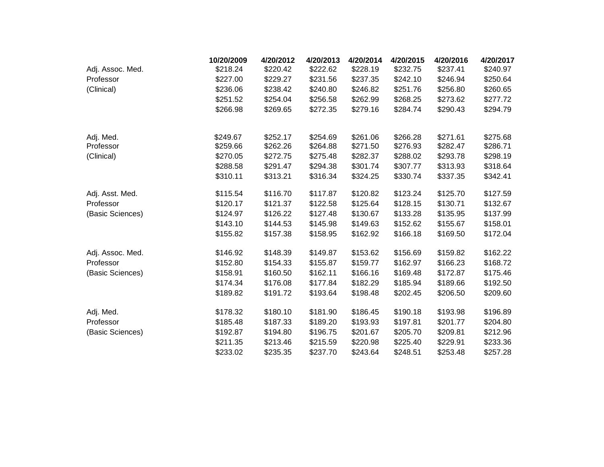|                  | 10/20/2009 | 4/20/2012 | 4/20/2013 | 4/20/2014 | 4/20/2015 | 4/20/2016 | 4/20/2017 |
|------------------|------------|-----------|-----------|-----------|-----------|-----------|-----------|
| Adj. Assoc. Med. | \$218.24   | \$220.42  | \$222.62  | \$228.19  | \$232.75  | \$237.41  | \$240.97  |
| Professor        | \$227.00   | \$229.27  | \$231.56  | \$237.35  | \$242.10  | \$246.94  | \$250.64  |
| (Clinical)       | \$236.06   | \$238.42  | \$240.80  | \$246.82  | \$251.76  | \$256.80  | \$260.65  |
|                  | \$251.52   | \$254.04  | \$256.58  | \$262.99  | \$268.25  | \$273.62  | \$277.72  |
|                  | \$266.98   | \$269.65  | \$272.35  | \$279.16  | \$284.74  | \$290.43  | \$294.79  |
| Adj. Med.        | \$249.67   | \$252.17  | \$254.69  | \$261.06  | \$266.28  | \$271.61  | \$275.68  |
| Professor        | \$259.66   | \$262.26  | \$264.88  | \$271.50  | \$276.93  | \$282.47  | \$286.71  |
| (Clinical)       | \$270.05   | \$272.75  | \$275.48  | \$282.37  | \$288.02  | \$293.78  | \$298.19  |
|                  | \$288.58   | \$291.47  | \$294.38  | \$301.74  | \$307.77  | \$313.93  | \$318.64  |
|                  | \$310.11   | \$313.21  | \$316.34  | \$324.25  | \$330.74  | \$337.35  | \$342.41  |
| Adj. Asst. Med.  | \$115.54   | \$116.70  | \$117.87  | \$120.82  | \$123.24  | \$125.70  | \$127.59  |
| Professor        | \$120.17   | \$121.37  | \$122.58  | \$125.64  | \$128.15  | \$130.71  | \$132.67  |
| (Basic Sciences) | \$124.97   | \$126.22  | \$127.48  | \$130.67  | \$133.28  | \$135.95  | \$137.99  |
|                  | \$143.10   | \$144.53  | \$145.98  | \$149.63  | \$152.62  | \$155.67  | \$158.01  |
|                  | \$155.82   | \$157.38  | \$158.95  | \$162.92  | \$166.18  | \$169.50  | \$172.04  |
| Adj. Assoc. Med. | \$146.92   | \$148.39  | \$149.87  | \$153.62  | \$156.69  | \$159.82  | \$162.22  |
| Professor        | \$152.80   | \$154.33  | \$155.87  | \$159.77  | \$162.97  | \$166.23  | \$168.72  |
| (Basic Sciences) | \$158.91   | \$160.50  | \$162.11  | \$166.16  | \$169.48  | \$172.87  | \$175.46  |
|                  | \$174.34   | \$176.08  | \$177.84  | \$182.29  | \$185.94  | \$189.66  | \$192.50  |
|                  | \$189.82   | \$191.72  | \$193.64  | \$198.48  | \$202.45  | \$206.50  | \$209.60  |
| Adj. Med.        | \$178.32   | \$180.10  | \$181.90  | \$186.45  | \$190.18  | \$193.98  | \$196.89  |
| Professor        | \$185.48   | \$187.33  | \$189.20  | \$193.93  | \$197.81  | \$201.77  | \$204.80  |
| (Basic Sciences) | \$192.87   | \$194.80  | \$196.75  | \$201.67  | \$205.70  | \$209.81  | \$212.96  |
|                  | \$211.35   | \$213.46  | \$215.59  | \$220.98  | \$225.40  | \$229.91  | \$233.36  |
|                  | \$233.02   | \$235.35  | \$237.70  | \$243.64  | \$248.51  | \$253.48  | \$257.28  |